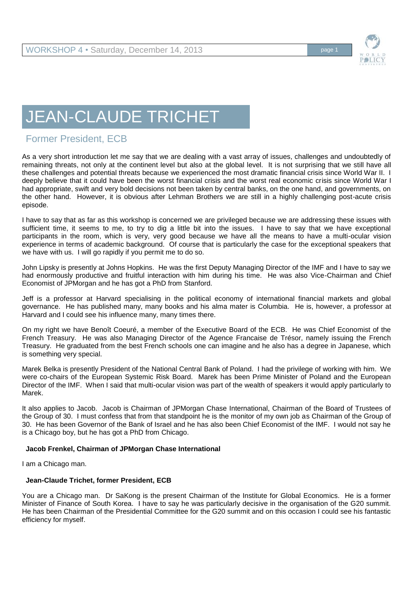

## JEAN-CLAUDE TRICHET

## Former President, ECB

As a very short introduction let me say that we are dealing with a vast array of issues, challenges and undoubtedly of remaining threats, not only at the continent level but also at the global level. It is not surprising that we still have all these challenges and potential threats because we experienced the most dramatic financial crisis since World War II. I deeply believe that it could have been the worst financial crisis and the worst real economic crisis since World War I had appropriate, swift and very bold decisions not been taken by central banks, on the one hand, and governments, on the other hand. However, it is obvious after Lehman Brothers we are still in a highly challenging post-acute crisis episode.

I have to say that as far as this workshop is concerned we are privileged because we are addressing these issues with sufficient time, it seems to me, to try to dig a little bit into the issues. I have to say that we have exceptional participants in the room, which is very, very good because we have all the means to have a multi-ocular vision experience in terms of academic background. Of course that is particularly the case for the exceptional speakers that we have with us. I will go rapidly if you permit me to do so.

John Lipsky is presently at Johns Hopkins. He was the first Deputy Managing Director of the IMF and I have to say we had enormously productive and fruitful interaction with him during his time. He was also Vice-Chairman and Chief Economist of JPMorgan and he has got a PhD from Stanford.

Jeff is a professor at Harvard specialising in the political economy of international financial markets and global governance. He has published many, many books and his alma mater is Columbia. He is, however, a professor at Harvard and I could see his influence many, many times there.

On my right we have Benoît Coeuré, a member of the Executive Board of the ECB. He was Chief Economist of the French Treasury. He was also Managing Director of the Agence Francaise de Trésor, namely issuing the French Treasury. He graduated from the best French schools one can imagine and he also has a degree in Japanese, which is something very special.

Marek Belka is presently President of the National Central Bank of Poland. I had the privilege of working with him. We were co-chairs of the European Systemic Risk Board. Marek has been Prime Minister of Poland and the European Director of the IMF. When I said that multi-ocular vision was part of the wealth of speakers it would apply particularly to Marek.

It also applies to Jacob. Jacob is Chairman of JPMorgan Chase International, Chairman of the Board of Trustees of the Group of 30. I must confess that from that standpoint he is the monitor of my own job as Chairman of the Group of 30. He has been Governor of the Bank of Israel and he has also been Chief Economist of the IMF. I would not say he is a Chicago boy, but he has got a PhD from Chicago.

## **Jacob Frenkel, Chairman of JPMorgan Chase International**

I am a Chicago man.

## **Jean-Claude Trichet, former President, ECB**

You are a Chicago man. Dr SaKong is the present Chairman of the Institute for Global Economics. He is a former Minister of Finance of South Korea. I have to say he was particularly decisive in the organisation of the G20 summit. He has been Chairman of the Presidential Committee for the G20 summit and on this occasion I could see his fantastic efficiency for myself.